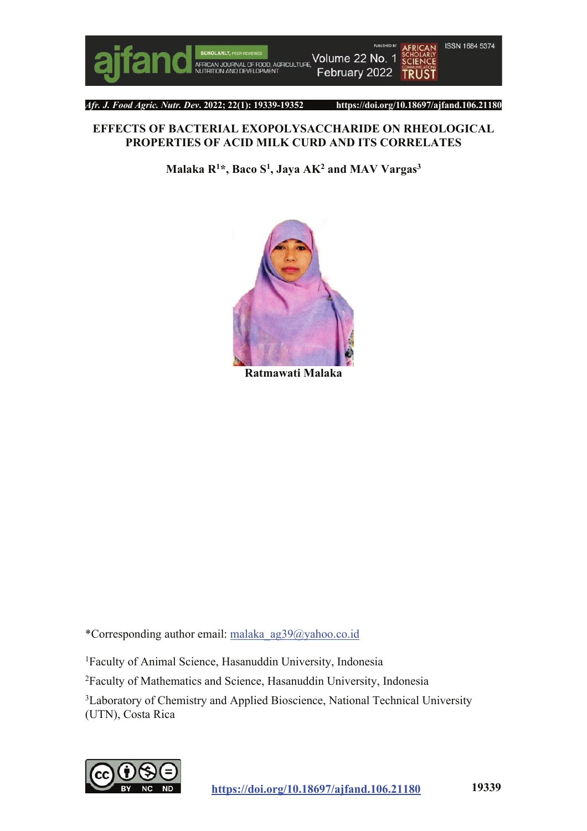

Afr. J. Food Agric. Nutr. Dev. 2022: 22(1): 19339-19352

https://doi.org/10.18697/ajfand.106.21180

## **EFFECTS OF BACTERIAL EXOPOLYSACCHARIDE ON RHEOLOGICAL** PROPERTIES OF ACID MILK CURD AND ITS CORRELATES

Malaka  $R^{1*}$ , Baco S<sup>1</sup>, Jaya AK<sup>2</sup> and MAV Vargas<sup>3</sup>



Ratmawati Malaka

\*Corresponding author email: malaka ag39@yahoo.co.id

<sup>1</sup>Faculty of Animal Science, Hasanuddin University, Indonesia

<sup>2</sup>Faculty of Mathematics and Science, Hasanuddin University, Indonesia

<sup>3</sup>Laboratory of Chemistry and Applied Bioscience, National Technical University (UTN), Costa Rica

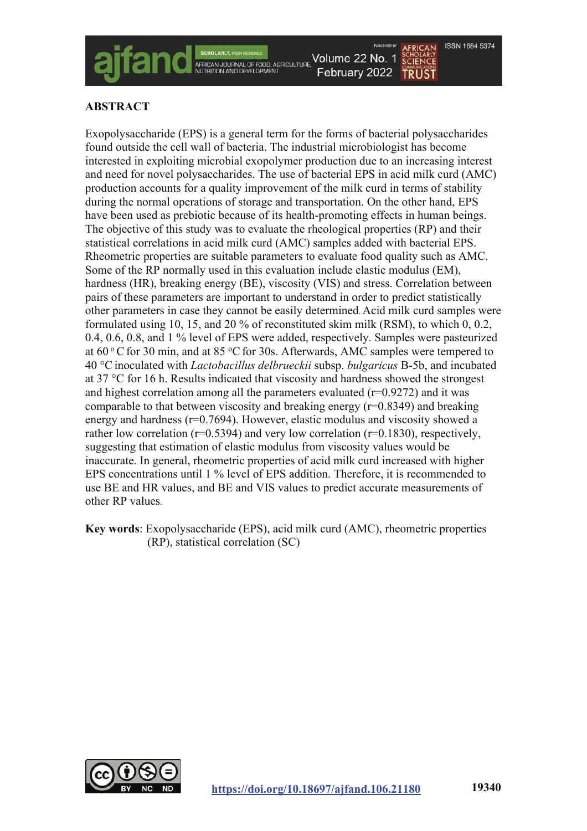

# **ABSTRACT**

Exopolysaccharide (EPS) is a general term for the forms of bacterial polysaccharides found outside the cell wall of bacteria. The industrial microbiologist has become interested in exploiting microbial exopolymer production due to an increasing interest and need for novel polysaccharides. The use of bacterial EPS in acid milk curd (AMC) production accounts for a quality improvement of the milk curd in terms of stability during the normal operations of storage and transportation. On the other hand, EPS have been used as prebiotic because of its health-promoting effects in human beings. The objective of this study was to evaluate the rheological properties (RP) and their statistical correlations in acid milk curd (AMC) samples added with bacterial EPS. Rheometric properties are suitable parameters to evaluate food quality such as AMC. Some of the RP normally used in this evaluation include elastic modulus (EM), hardness (HR), breaking energy (BE), viscosity (VIS) and stress. Correlation between pairs of these parameters are important to understand in order to predict statistically other parameters in case they cannot be easily determined. Acid milk curd samples were formulated using 10, 15, and 20 % of reconstituted skim milk (RSM), to which 0, 0.2, 0.4, 0.6, 0.8, and 1 % level of EPS were added, respectively. Samples were pasteurized at  $60^{\circ}$ C for 30 min, and at 85 °C for 30s. Afterwards, AMC samples were tempered to 40 °C inoculated with *Lactobacillus delbrueckii* subsp. *bulgaricus* B-5b, and incubated at  $37^{\circ}$ C for 16 h. Results indicated that viscosity and hardness showed the strongest and highest correlation among all the parameters evaluated  $(r=0.9272)$  and it was comparable to that between viscosity and breaking energy ( $r=0.8349$ ) and breaking energy and hardness ( $r=0.7694$ ). However, elastic modulus and viscosity showed a rather low correlation ( $r=0.5394$ ) and very low correlation ( $r=0.1830$ ), respectively, suggesting that estimation of elastic modulus from viscosity values would be inaccurate. In general, rheometric properties of acid milk curd increased with higher EPS concentrations until 1 % level of EPS addition. Therefore, it is recommended to use BE and HR values, and BE and VIS values to predict accurate measurements of other RP values.

Key words: Exopolysaccharide (EPS), acid milk curd (AMC), rheometric properties (RP), statistical correlation (SC)

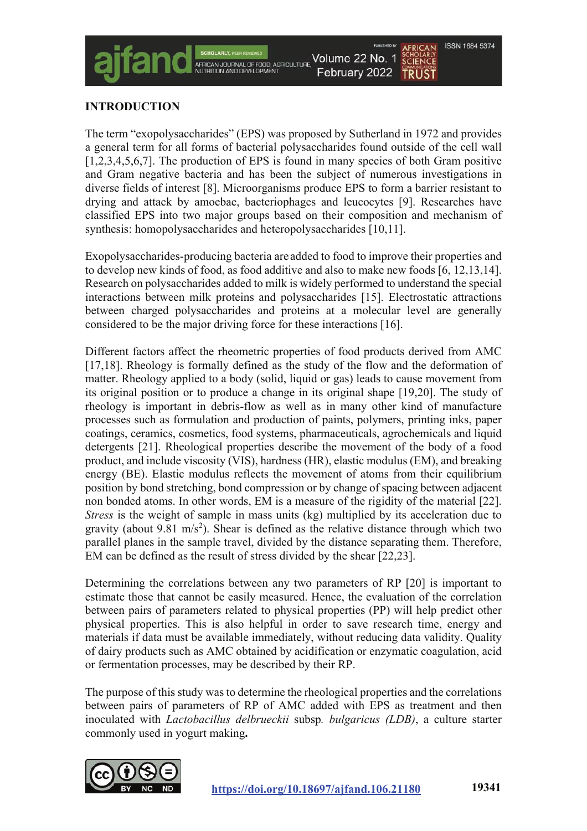# **INTRODUCTION**

The term "exopolysaccharides" (EPS) was proposed by Sutherland in 1972 and provides a general term for all forms of bacterial polysaccharides found outside of the cell wall  $[1,2,3,4,5,6,7]$ . The production of EPS is found in many species of both Gram positive and Gram negative bacteria and has been the subject of numerous investigations in diverse fields of interest [8]. Microorganisms produce EPS to form a barrier resistant to drying and attack by amoebae, bacteriophages and leucocytes [9]. Researches have classified EPS into two major groups based on their composition and mechanism of synthesis: homopolysaccharides and heteropolysaccharides [10,11].

Exopolysaccharides-producing bacteria are added to food to improve their properties and to develop new kinds of food, as food additive and also to make new foods [6, 12,13,14]. Research on polysaccharides added to milk is widely performed to understand the special interactions between milk proteins and polysaccharides [15]. Electrostatic attractions between charged polysaccharides and proteins at a molecular level are generally considered to be the major driving force for these interactions [16].

Different factors affect the rheometric properties of food products derived from AMC [17,18]. Rheology is formally defined as the study of the flow and the deformation of matter. Rheology applied to a body (solid, liquid or gas) leads to cause movement from its original position or to produce a change in its original shape [19,20]. The study of rheology is important in debris-flow as well as in many other kind of manufacture processes such as formulation and production of paints, polymers, printing inks, paper coatings, ceramics, cosmetics, food systems, pharmaceuticals, agrochemicals and liquid detergents [21]. Rheological properties describe the movement of the body of a food product, and include viscosity (VIS), hardness (HR), elastic modulus (EM), and breaking energy (BE). Elastic modulus reflects the movement of atoms from their equilibrium position by bond stretching, bond compression or by change of spacing between adjacent non bonded atoms. In other words, EM is a measure of the rigidity of the material [22]. *Stress* is the weight of sample in mass units (kg) multiplied by its acceleration due to gravity (about 9.81 m/s<sup>2</sup>). Shear is defined as the relative distance through which two parallel planes in the sample travel, divided by the distance separating them. Therefore, EM can be defined as the result of stress divided by the shear [22,23].

Determining the correlations between any two parameters of RP [20] is important to estimate those that cannot be easily measured. Hence, the evaluation of the correlation between pairs of parameters related to physical properties (PP) will help predict other physical properties. This is also helpful in order to save research time, energy and materials if data must be available immediately, without reducing data validity. Quality of dairy products such as AMC obtained by acidification or enzymatic coagulation, acid or fermentation processes, may be described by their RP.

The purpose of this study was to determine the rheological properties and the correlations between pairs of parameters of RP of AMC added with EPS as treatment and then inoculated with *Lactobacillus delbrueckii* subsp. *bulgaricus (LDB)*, a culture starter commonly used in yogurt making.

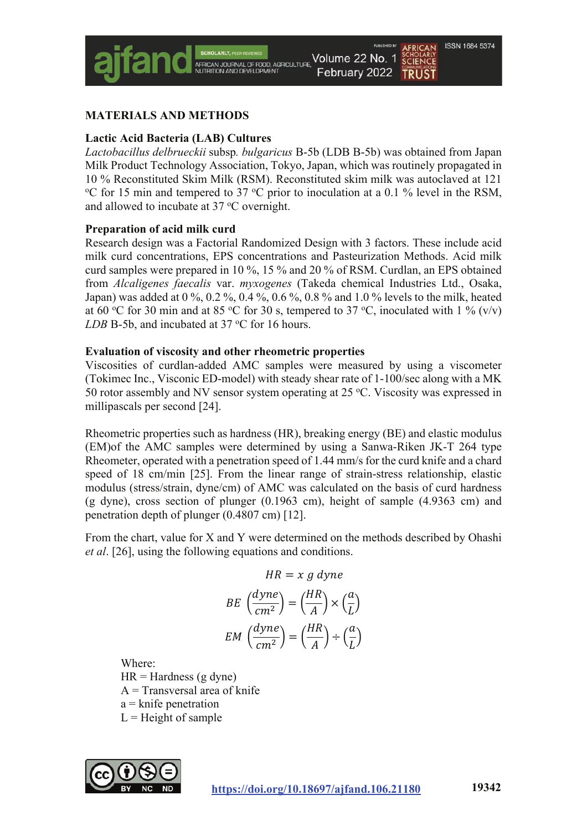

## **MATERIALS AND METHODS**

#### Lactic Acid Bacteria (LAB) Cultures

Lactobacillus delbrueckii subsp. bulgaricus B-5b (LDB B-5b) was obtained from Japan Milk Product Technology Association, Tokyo, Japan, which was routinely propagated in 10 % Reconstituted Skim Milk (RSM). Reconstituted skim milk was autoclaved at 121 °C for 15 min and tempered to 37 °C prior to inoculation at a 0.1 % level in the RSM, and allowed to incubate at 37 °C overnight.

#### **Preparation of acid milk curd**

Research design was a Factorial Randomized Design with 3 factors. These include acid milk curd concentrations, EPS concentrations and Pasteurization Methods. Acid milk curd samples were prepared in 10 %, 15 % and 20 % of RSM. Curdlan, an EPS obtained from Alcaligenes faecalis var. myxogenes (Takeda chemical Industries Ltd., Osaka, Japan) was added at 0 %, 0.2 %, 0.4 %, 0.6 %, 0.8 % and 1.0 % levels to the milk, heated at 60 °C for 30 min and at 85 °C for 30 s, tempered to 37 °C, inoculated with 1 % (v/v) LDB B-5b, and incubated at 37  $\degree$ C for 16 hours.

#### **Evaluation of viscosity and other rheometric properties**

Viscosities of curdlan-added AMC samples were measured by using a viscometer (Tokimec Inc., Visconic ED-model) with steady shear rate of 1-100/sec along with a MK 50 rotor assembly and NV sensor system operating at  $25 \text{ °C}$ . Viscosity was expressed in millipascals per second [24].

Rheometric properties such as hardness (HR), breaking energy (BE) and elastic modulus (EM) of the AMC samples were determined by using a Sanwa-Riken JK-T 264 type Rheometer, operated with a penetration speed of 1.44 mm/s for the curd knife and a chard speed of 18 cm/min [25]. From the linear range of strain-stress relationship, elastic modulus (stress/strain, dyne/cm) of AMC was calculated on the basis of curd hardness  $(g$  dyne), cross section of plunger  $(0.1963$  cm), height of sample  $(4.9363$  cm) and penetration depth of plunger (0.4807 cm) [12].

From the chart, value for X and Y were determined on the methods described by Ohashi *et al.* [26], using the following equations and conditions.

$$
HR = x g \text{ dyne}
$$

$$
BE\left(\frac{dyne}{cm^2}\right) = \left(\frac{HR}{A}\right) \times \left(\frac{a}{L}\right)
$$

$$
EM\left(\frac{dyne}{cm^2}\right) = \left(\frac{HR}{A}\right) \div \left(\frac{a}{L}\right)
$$

Where:  $HR = Hardness$  (g dyne)  $A = Transversal area of **k**nife$  $a =$ knife penetration  $L =$ Height of sample

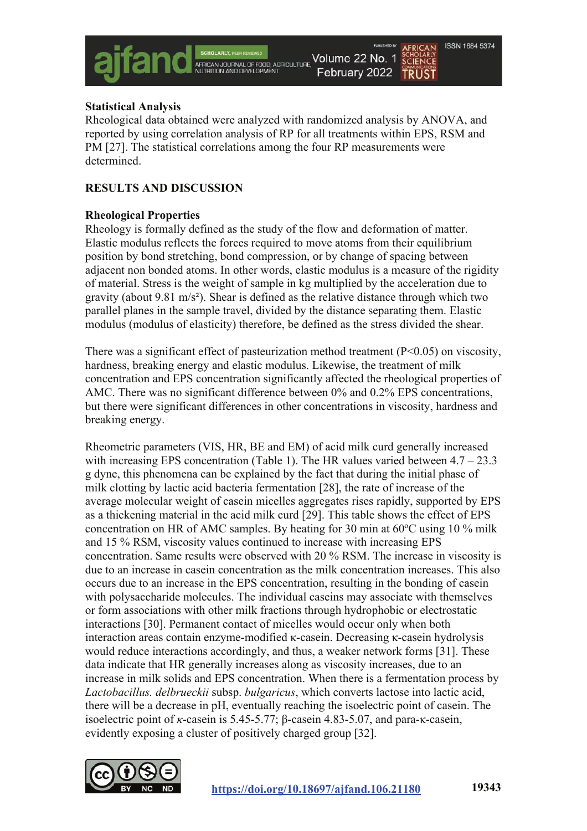

### **Statistical Analysis**

Rheological data obtained were analyzed with randomized analysis by ANOVA, and reported by using correlation analysis of RP for all treatments within EPS, RSM and PM [27]. The statistical correlations among the four RP measurements were determined.

### **RESULTS AND DISCUSSION**

### **Rheological Properties**

Rheology is formally defined as the study of the flow and deformation of matter. Elastic modulus reflects the forces required to move atoms from their equilibrium position by bond stretching, bond compression, or by change of spacing between adjacent non bonded atoms. In other words, elastic modulus is a measure of the rigidity of material. Stress is the weight of sample in kg multiplied by the acceleration due to gravity (about 9.81 m/s<sup>2</sup>). Shear is defined as the relative distance through which two parallel planes in the sample travel, divided by the distance separating them. Elastic modulus (modulus of elasticity) therefore, be defined as the stress divided the shear.

There was a significant effect of pasteurization method treatment  $(P<0.05)$  on viscosity. hardness, breaking energy and elastic modulus. Likewise, the treatment of milk concentration and EPS concentration significantly affected the rheological properties of AMC. There was no significant difference between 0% and 0.2% EPS concentrations, but there were significant differences in other concentrations in viscosity, hardness and breaking energy.

Rheometric parameters (VIS, HR, BE and EM) of acid milk curd generally increased with increasing EPS concentration (Table 1). The HR values varied between  $4.7 - 23.3$ g dyne, this phenomena can be explained by the fact that during the initial phase of milk clotting by lactic acid bacteria fermentation [28], the rate of increase of the average molecular weight of casein micelles aggregates rises rapidly, supported by EPS as a thickening material in the acid milk curd [29]. This table shows the effect of EPS concentration on HR of AMC samples. By heating for 30 min at  $60^{\circ}$ C using 10 % milk and 15 % RSM, viscosity values continued to increase with increasing EPS concentration. Same results were observed with 20 % RSM. The increase in viscosity is due to an increase in casein concentration as the milk concentration increases. This also occurs due to an increase in the EPS concentration, resulting in the bonding of case in with polysaccharide molecules. The individual caseins may associate with themselves or form associations with other milk fractions through hydrophobic or electrostatic interactions [30]. Permanent contact of micelles would occur only when both interaction areas contain enzyme-modified k-casein. Decreasing k-casein hydrolysis would reduce interactions accordingly, and thus, a weaker network forms [31]. These data indicate that HR generally increases along as viscosity increases, due to an increase in milk solids and EPS concentration. When there is a fermentation process by Lactobacillus. delbrueckii subsp. bulgaricus, which converts lactose into lactic acid, there will be a decrease in pH, eventually reaching the isoelectric point of casein. The isoelectric point of  $\kappa$ -casein is 5.45-5.77; B-casein 4.83-5.07, and para- $\kappa$ -casein, evidently exposing a cluster of positively charged group [32].

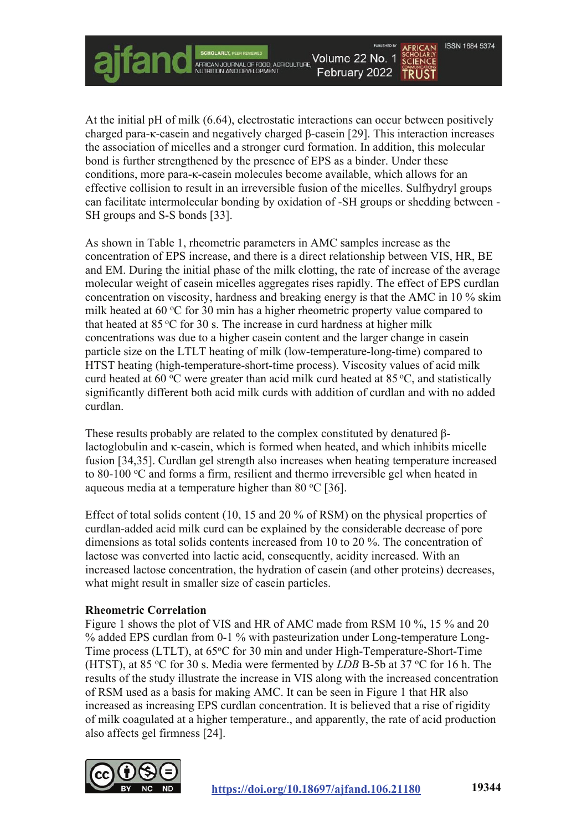At the initial pH of milk (6.64), electrostatic interactions can occur between positively charged para- $\kappa$ -casein and negatively charged  $\beta$ -casein [29]. This interaction increases the association of micelles and a stronger curd formation. In addition, this molecular bond is further strengthened by the presence of EPS as a binder. Under these conditions, more para- $\kappa$ -casein molecules become available, which allows for an effective collision to result in an irreversible fusion of the micelles. Sulfhydryl groups can facilitate intermolecular bonding by oxidation of -SH groups or shedding between -SH groups and S-S bonds [33].

Volume 22 No. 1 February 2022

AFRICAN JOURNAL OF FOOD, AGRICULTURE

**ISSN 1684 5374** 

**TRUST** 

As shown in Table 1, rheometric parameters in AMC samples increase as the concentration of EPS increase, and there is a direct relationship between VIS, HR, BE and EM. During the initial phase of the milk clotting, the rate of increase of the average molecular weight of casein micelles aggregates rises rapidly. The effect of EPS curdlan concentration on viscosity, hardness and breaking energy is that the AMC in 10 % skim milk heated at 60  $\degree$ C for 30 min has a higher rheometric property value compared to that heated at  $85 \degree$ C for 30 s. The increase in curd hardness at higher milk concentrations was due to a higher case in content and the larger change in case in particle size on the LTLT heating of milk (low-temperature-long-time) compared to HTST heating (high-temperature-short-time process). Viscosity values of acid milk curd heated at 60 °C were greater than acid milk curd heated at 85 °C, and statistically significantly different both acid milk curds with addition of curdlan and with no added curdlan.

These results probably are related to the complex constituted by denatured  $\beta$ lactoglobulin and k-casein, which is formed when heated, and which inhibits micelle fusion [34,35]. Curdlan gel strength also increases when heating temperature increased to 80-100 °C and forms a firm, resilient and thermo irreversible gel when heated in aqueous media at a temperature higher than 80  $^{\circ}$ C [36].

Effect of total solids content (10, 15 and 20  $\%$  of RSM) on the physical properties of curdlan-added acid milk curd can be explained by the considerable decrease of pore dimensions as total solids contents increased from 10 to 20 %. The concentration of lactose was converted into lactic acid, consequently, acidity increased. With an increased lactose concentration, the hydration of casein (and other proteins) decreases, what might result in smaller size of casein particles.

## **Rheometric Correlation**

Figure 1 shows the plot of VIS and HR of AMC made from RSM 10 %, 15 % and 20 % added EPS curdlan from 0-1 % with pasteurization under Long-temperature Long-Time process (LTLT), at 65°C for 30 min and under High-Temperature-Short-Time (HTST), at 85 °C for 30 s. Media were fermented by *LDB* B-5b at 37 °C for 16 h. The results of the study illustrate the increase in VIS along with the increased concentration of RSM used as a basis for making AMC. It can be seen in Figure 1 that HR also increased as increasing EPS curdlan concentration. It is believed that a rise of rigidity of milk coagulated at a higher temperature., and apparently, the rate of acid production also affects gel firmness [24].

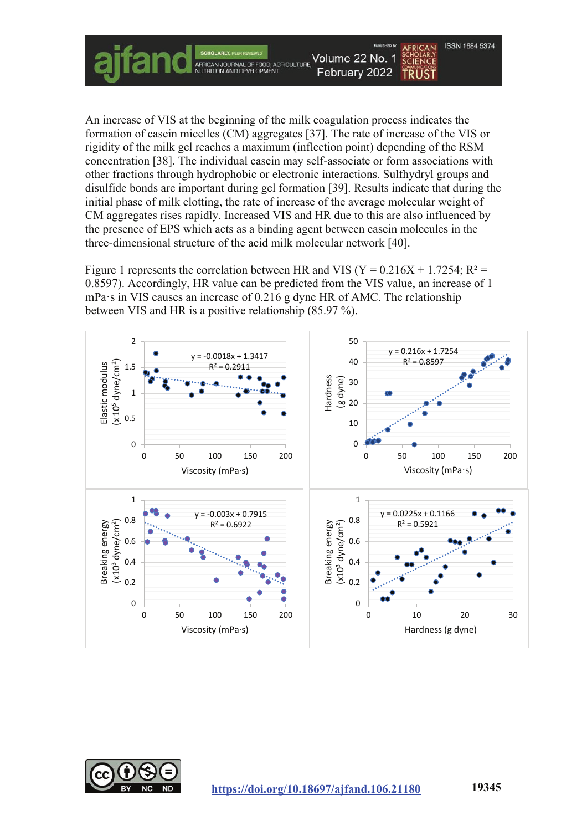An increase of VIS at the beginning of the milk coagulation process indicates the formation of casein micelles (CM) aggregates [37]. The rate of increase of the VIS or rigidity of the milk gel reaches a maximum (inflection point) depending of the RSM concentration [38]. The individual case in may self-associate or form associations with other fractions through hydrophobic or electronic interactions. Sulfhydryl groups and disulfide bonds are important during gel formation [39]. Results indicate that during the initial phase of milk clotting, the rate of increase of the average molecular weight of CM aggregates rises rapidly. Increased VIS and HR due to this are also influenced by the presence of EPS which acts as a binding agent between case in molecules in the three-dimensional structure of the acid milk molecular network [40].

**AGRICULT** 

Volume 22 No. 1

February 2022

**ISSN 1684 5374** 

**SCHOLARLY** 

**TRUST** 

Figure 1 represents the correlation between HR and VIS ( $Y = 0.216X + 1.7254$ ;  $R^2 =$ 0.8597). Accordingly, HR value can be predicted from the VIS value, an increase of 1  $mPa·s$  in VIS causes an increase of 0.216 g dyne HR of AMC. The relationship between VIS and HR is a positive relationship  $(85.97\%)$ .



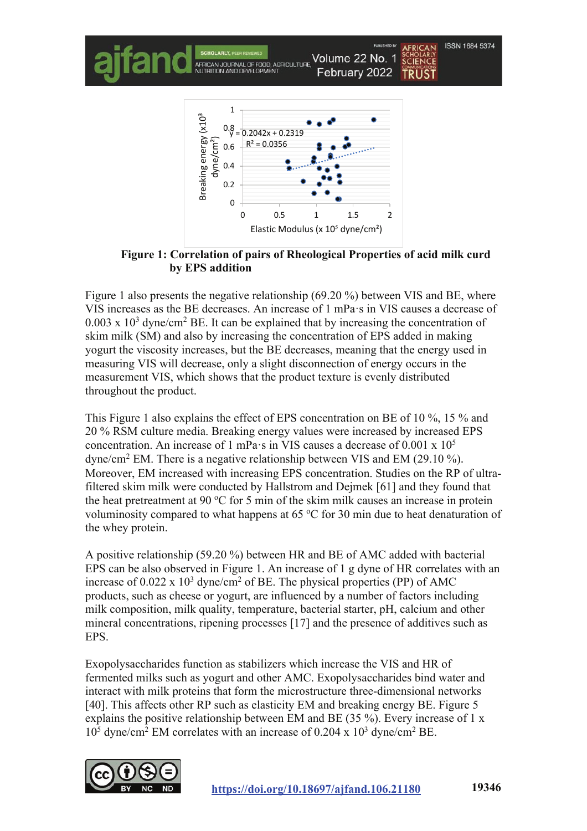

Figure 1: Correlation of pairs of Rheological Properties of acid milk curd by EPS addition

Figure 1 also presents the negative relationship (69.20 %) between VIS and BE, where VIS increases as the BE decreases. An increase of 1 mPa·s in VIS causes a decrease of  $0.003$  x 10<sup>3</sup> dyne/cm<sup>2</sup> BE. It can be explained that by increasing the concentration of skim milk (SM) and also by increasing the concentration of EPS added in making yogurt the viscosity increases, but the BE decreases, meaning that the energy used in measuring VIS will decrease, only a slight disconnection of energy occurs in the measurement VIS, which shows that the product texture is evenly distributed throughout the product.

This Figure 1 also explains the effect of EPS concentration on BE of 10 %, 15 % and 20 % RSM culture media. Breaking energy values were increased by increased EPS concentration. An increase of 1 mPa·s in VIS causes a decrease of 0.001 x  $10^5$  $\mu$  dyne/cm<sup>2</sup> EM. There is a negative relationship between VIS and EM (29.10 %). Moreover, EM increased with increasing EPS concentration. Studies on the RP of ultrafiltered skim milk were conducted by Hallstrom and Dejmek [61] and they found that the heat pretreatment at 90  $\degree$ C for 5 min of the skim milk causes an increase in protein voluminosity compared to what happens at 65  $\degree$ C for 30 min due to heat denaturation of the whey protein.

A positive relationship (59.20 %) between HR and BE of AMC added with bacterial EPS can be also observed in Figure 1. An increase of 1 g dyne of HR correlates with an increase of  $0.022 \times 10^3$  dyne/cm<sup>2</sup> of BE. The physical properties (PP) of AMC products, such as cheese or yogurt, are influenced by a number of factors including milk composition, milk quality, temperature, bacterial starter, pH, calcium and other mineral concentrations, ripening processes [17] and the presence of additives such as EPS.

Exopolysaccharides function as stabilizers which increase the VIS and HR of fermented milks such as yogurt and other AMC. Exopolysaccharides bind water and interact with milk proteins that form the microstructure three-dimensional networks [40]. This affects other RP such as elasticity EM and breaking energy BE. Figure 5 explains the positive relationship between EM and BE  $(35\%)$ . Every increase of 1 x  $10^5$  dyne/cm<sup>2</sup> EM correlates with an increase of 0.204 x  $10^3$  dyne/cm<sup>2</sup> BE.

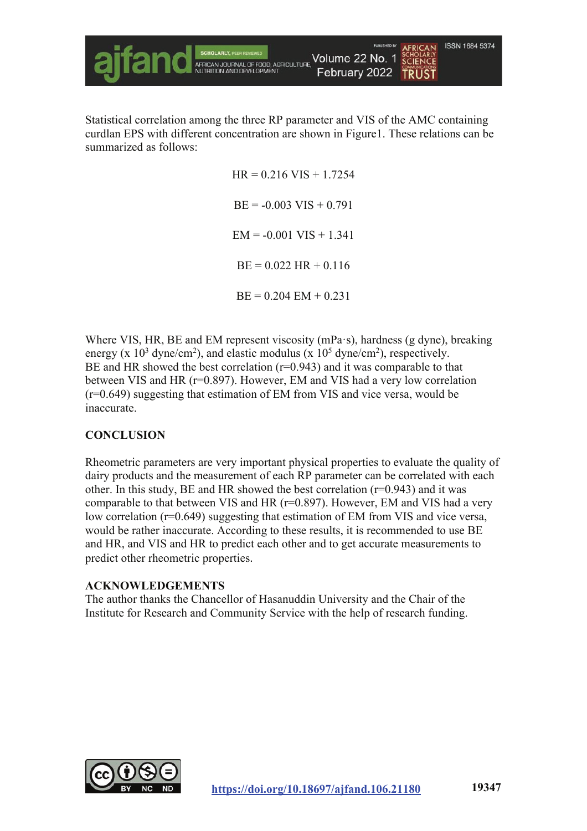

Statistical correlation among the three RP parameter and VIS of the AMC containing curdlan EPS with different concentration are shown in Figure 1. These relations can be summarized as follows:

> $HR = 0.216 \text{ VIS} + 1.7254$  $BE = -0.003 VIS + 0.791$  $EM = -0.001$  VIS + 1.341  $BE = 0.022$  HR + 0.116  $BE = 0.204 EM + 0.231$

Where VIS, HR, BE and EM represent viscosity (mPa·s), hardness (g dyne), breaking energy (x  $10^3$  dyne/cm<sup>2</sup>), and elastic modulus (x  $10^5$  dyne/cm<sup>2</sup>), respectively. BE and HR showed the best correlation  $(r=0.943)$  and it was comparable to that between VIS and HR (r=0.897). However, EM and VIS had a very low correlation  $(r=0.649)$  suggesting that estimation of EM from VIS and vice versa, would be inaccurate.

## **CONCLUSION**

Rheometric parameters are very important physical properties to evaluate the quality of dairy products and the measurement of each RP parameter can be correlated with each other. In this study, BE and HR showed the best correlation  $(r=0.943)$  and it was comparable to that between VIS and HR (r=0.897). However, EM and VIS had a very low correlation (r=0.649) suggesting that estimation of EM from VIS and vice versa, would be rather inaccurate. According to these results, it is recommended to use BE and HR, and VIS and HR to predict each other and to get accurate measurements to predict other rheometric properties.

### **ACKNOWLEDGEMENTS**

The author thanks the Chancellor of Hasanuddin University and the Chair of the Institute for Research and Community Service with the help of research funding.

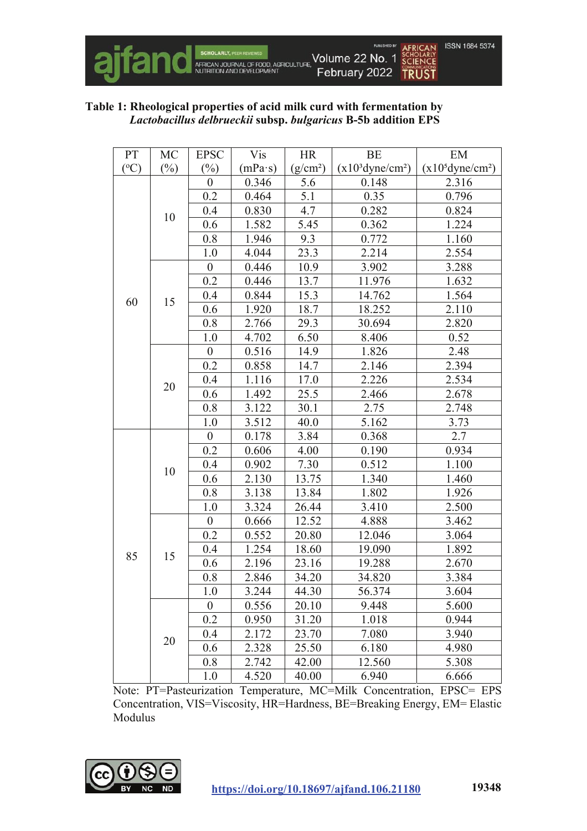

### Table 1: Rheological properties of acid milk curd with fermentation by Lactobacillus delbrueckii subsp. bulgaricus B-5b addition EPS

| <b>PT</b>       | MC     | <b>EPSC</b>      | Vis                | <b>HR</b>            | BE                  | EM                  |
|-----------------|--------|------------------|--------------------|----------------------|---------------------|---------------------|
| $({}^{\circ}C)$ | $(\%)$ | $(\%)$           | (mPa·s)            | (g/cm <sup>2</sup> ) | $(x10^3 dyne/cm^2)$ | $(x10^5 dyne/cm^2)$ |
| 60              | 10     | $\overline{0}$   | 0.346              | 5.6                  | 0.148               | 2.316               |
|                 |        | 0.2              | 0.464              | 5.1                  | 0.35                | 0.796               |
|                 |        | 0.4              | 0.830              | 4.7                  | 0.282               | 0.824               |
|                 |        | 0.6              | 1.582              | 5.45                 | 0.362               | 1.224               |
|                 |        | 0.8              | 1.946              | 9.3                  | 0.772               | 1.160               |
|                 |        | 1.0              | 4.044              | 23.3                 | 2.214               | 2.554               |
|                 | 15     | $\boldsymbol{0}$ | 0.446              | 10.9                 | 3.902               | 3.288               |
|                 |        | 0.2              | 0.446              | 13.7                 | 11.976              | 1.632               |
|                 |        | 0.4              | 0.844              | 15.3                 | 14.762              | 1.564               |
|                 |        | 0.6              | 1.920              | 18.7                 | 18.252              | 2.110               |
|                 |        | 0.8              | 2.766              | 29.3                 | 30.694              | 2.820               |
|                 |        | 1.0              | 4.702              | 6.50                 | 8.406               | 0.52                |
|                 | 20     | $\boldsymbol{0}$ | 0.516              | 14.9                 | 1.826               | 2.48                |
|                 |        | 0.2              | 0.858              | 14.7                 | 2.146               | 2.394               |
|                 |        | 0.4              | 1.116              | 17.0                 | 2.226               | 2.534               |
|                 |        | 0.6              | 1.492              | 25.5                 | 2.466               | 2.678               |
|                 |        | 0.8              | 3.122              | 30.1                 | 2.75                | 2.748               |
|                 |        | 1.0              | 3.512              | 40.0                 | 5.162               | 3.73                |
| 85              | 10     | $\boldsymbol{0}$ | 0.178              | 3.84                 | 0.368               | 2.7                 |
|                 |        | 0.2              | 0.606              | 4.00                 | 0.190               | 0.934               |
|                 |        | 0.4              | 0.902              | 7.30                 | 0.512               | 1.100               |
|                 |        | 0.6              | 2.130              | 13.75                | 1.340               | 1.460               |
|                 |        | 0.8              | 3.138              | 13.84                | 1.802               | 1.926               |
|                 |        | 1.0              | 3.324              | 26.44                | 3.410               | 2.500               |
|                 | 15     | $\boldsymbol{0}$ | 0.666              | 12.52                | 4.888               | 3.462               |
|                 |        | 0.2              | 0.552              | 20.80                | 12.046              | 3.064               |
|                 |        | 0.4              | 1.254              | 18.60                | 19.090              | 1.892               |
|                 |        | 0.6              | 2.196              | 23.16                | 19.288              | 2.670               |
|                 |        | 0.8              | 2.846              | 34.20                | 34.820              | 3.384               |
|                 |        | $1.0\,$          | $3.24\overline{4}$ | 44.30                | $\overline{56.374}$ | 3.604               |
|                 | 20     | $\theta$         | 0.556              | 20.10                | 9.448               | 5.600               |
|                 |        | 0.2              | 0.950              | 31.20                | 1.018               | 0.944               |
|                 |        | 0.4              | 2.172              | 23.70                | 7.080               | 3.940               |
|                 |        | 0.6              | 2.328              | 25.50                | 6.180               | 4.980               |
|                 |        | 0.8              | 2.742              | 42.00                | 12.560              | 5.308               |
|                 |        | 1.0              | 4.520              | 40.00                | 6.940               | 6.666               |

Note: PT=Pasteurization Temperature, MC=Milk Concentration, EPSC= EPS Concentration, VIS=Viscosity, HR=Hardness, BE=Breaking Energy, EM= Elastic Modulus

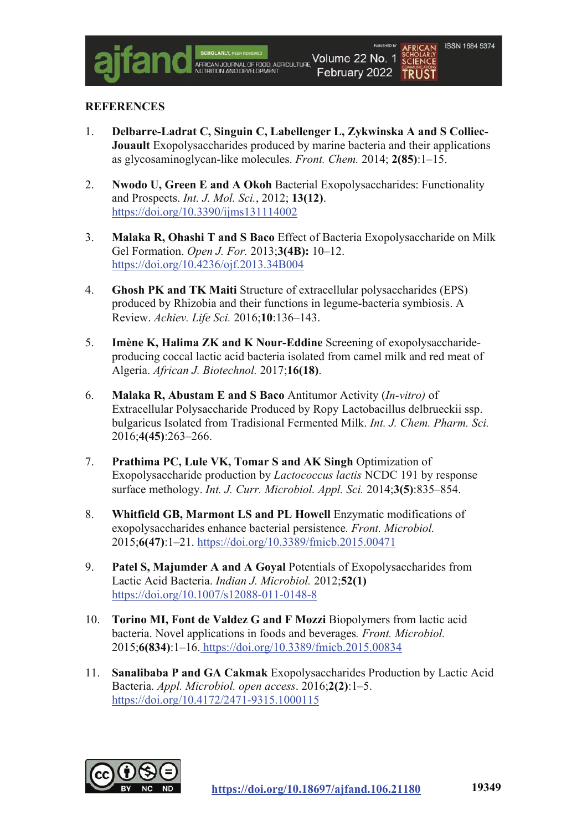## **REFERENCES**

- $1<sub>1</sub>$ Delbarre-Ladrat C, Singuin C, Labellenger L, Zykwinska A and S Colliec-Jouault Exopolysaccharides produced by marine bacteria and their applications as glycosaminoglycan-like molecules. Front. Chem. 2014;  $2(85):1-15$ .
- Nwodo U, Green E and A Okoh Bacterial Exopolysaccharides: Functionality  $2.$ and Prospects. *Int. J. Mol. Sci.*, 2012; 13(12). https://doi.org/10.3390/ijms131114002
- $3.$ Malaka R, Ohashi T and S Baco Effect of Bacteria Exopolysaccharide on Milk Gel Formation. Open J. For. 2013;3(4B): 10-12. https://doi.org/10.4236/ojf.2013.34B004
- $\overline{4}$ . **Ghosh PK and TK Maiti** Structure of extracellular polysaccharides (EPS) produced by Rhizobia and their functions in legume-bacteria symbiosis. A Review. Achiev. Life Sci. 2016;10:136-143.
- $\overline{5}$ . Imène K. Halima ZK and K Nour-Eddine Screening of exopolysaccharideproducing coccal lactic acid bacteria isolated from camel milk and red meat of Algeria. African J. Biotechnol. 2017;16(18).
- **Malaka R. Abustam E and S Baco** Antitumor Activity  $(In-vitro)$  of 6. Extracellular Polysaccharide Produced by Ropy Lactobacillus delbrueckii ssp. bulgaricus Isolated from Tradisional Fermented Milk. Int. J. Chem. Pharm. Sci.  $2016;4(45):263-266.$
- Prathima PC, Lule VK, Tomar S and AK Singh Optimization of  $7.$ Exopolysaccharide production by *Lactococcus lactis* NCDC 191 by response surface methology. Int. J. Curr. Microbiol. Appl. Sci. 2014;3(5):835–854.
- 8. Whitfield GB, Marmont LS and PL Howell Enzymatic modifications of exopolysaccharides enhance bacterial persistence. Front. Microbiol. 2015;6(47):1-21. https://doi.org/10.3389/fmicb.2015.00471
- 9. Patel S, Majumder A and A Goyal Potentials of Exopolysaccharides from Lactic Acid Bacteria. Indian J. Microbiol. 2012;52(1) https://doi.org/10.1007/s12088-011-0148-8
- $10.$ **Torino MI, Font de Valdez G and F Mozzi** Biopolymers from lactic acid bacteria. Novel applications in foods and beverages. Front. Microbiol. 2015;6(834):1-16. https://doi.org/10.3389/fmicb.2015.00834
- 11. Sanalibaba P and GA Cakmak Exopolysaccharides Production by Lactic Acid Bacteria. Appl. Microbiol. open access. 2016:2(2):1–5. https://doi.org/10.4172/2471-9315.1000115

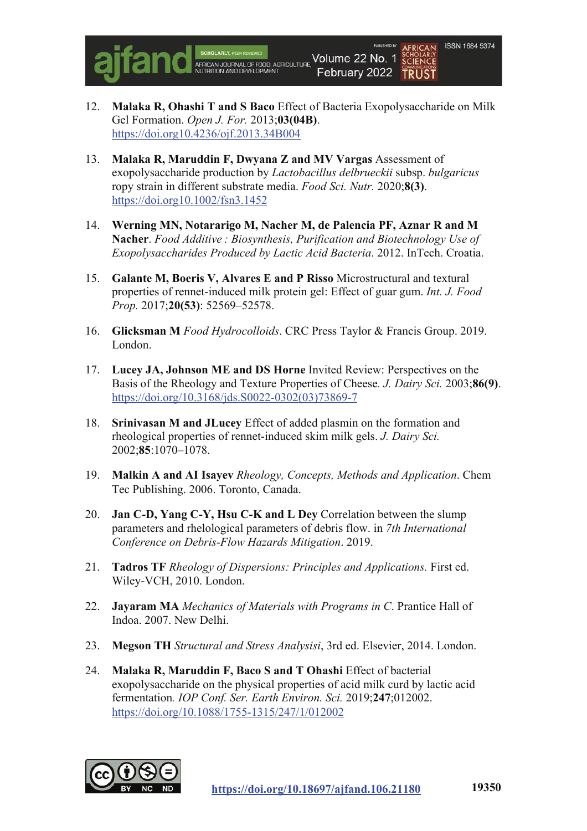

- 12. Malaka R, Ohashi T and S Baco Effect of Bacteria Exopolysaccharide on Milk Gel Formation. Open J. For. 2013;03(04B). https://doi.org10.4236/ojf.2013.34B004
- 13. Malaka R, Maruddin F, Dwyana Z and MV Vargas Assessment of exopolysaccharide production by *Lactobacillus delbrueckii* subsp. bulgaricus ropy strain in different substrate media. Food Sci. Nutr. 2020;8(3). https://doi.org10.1002/fsn3.1452
- 14. Werning MN, Notararigo M, Nacher M, de Palencia PF, Aznar R and M **Nacher**. Food Additive: Biosynthesis, Purification and Biotechnology Use of Exopolysaccharides Produced by Lactic Acid Bacteria. 2012. InTech. Croatia.
- 15. Galante M, Boeris V, Alvares E and P Risso Microstructural and textural properties of rennet-induced milk protein gel: Effect of guar gum. Int. J. Food Prop. 2017;20(53): 52569-52578.
- 16. Glicksman M Food Hydrocolloids. CRC Press Taylor & Francis Group. 2019. London.
- 17. Lucey JA, Johnson ME and DS Horne Invited Review: Perspectives on the Basis of the Rheology and Texture Properties of Cheese. J. Dairy Sci. 2003;86(9). https://doi.org/10.3168/jds.S0022-0302(03)73869-7
- 18. Srinivasan M and JLucey Effect of added plasmin on the formation and rheological properties of rennet-induced skim milk gels. J. Dairy Sci. 2002:85:1070-1078.
- 19. Malkin A and AI Isayev Rheology, Concepts, Methods and Application. Chem Tec Publishing. 2006. Toronto, Canada.
- 20. Jan C-D, Yang C-Y, Hsu C-K and L Dev Correlation between the slump parameters and rhelological parameters of debris flow. in 7th International Conference on Debris-Flow Hazards Mitigation. 2019.
- 21. **Tadros TF** Rheology of Dispersions: Principles and Applications. First ed. Wiley-VCH, 2010. London.
- 22. Jayaram MA Mechanics of Materials with Programs in C. Prantice Hall of Indoa. 2007. New Delhi.
- 23. Megson TH Structural and Stress Analysisi, 3rd ed. Elsevier, 2014. London.
- 24. Malaka R, Maruddin F, Baco S and T Ohashi Effect of bacterial exopolysaccharide on the physical properties of acid milk curd by lactic acid fermentation. *IOP Conf. Ser. Earth Environ. Sci.* 2019:247:012002. https://doi.org/10.1088/1755-1315/247/1/012002

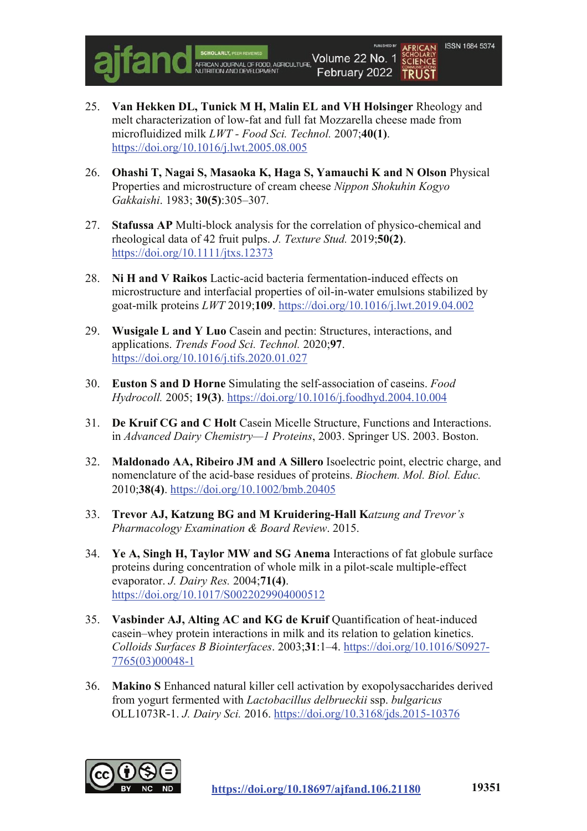

- 25. Van Hekken DL, Tunick M H, Malin EL and VH Holsinger Rheology and melt characterization of low-fat and full fat Mozzarella cheese made from microfluidized milk LWT - Food Sci. Technol. 2007;40(1). https://doi.org/10.1016/j.lwt.2005.08.005
- 26. Ohashi T, Nagai S, Masaoka K, Haga S, Yamauchi K and N Olson Physical Properties and microstructure of cream cheese Nippon Shokuhin Kogyo Gakkaishi. 1983; 30(5):305-307.
- 27. Stafussa AP Multi-block analysis for the correlation of physico-chemical and rheological data of 42 fruit pulps. J. Texture Stud. 2019;50(2). https://doi.org/10.1111/jtxs.12373
- 28. Ni H and V Raikos Lactic-acid bacteria fermentation-induced effects on microstructure and interfacial properties of oil-in-water emulsions stabilized by goat-milk proteins LWT 2019;109. https://doi.org/10.1016/j.lwt.2019.04.002
- 29. Wusigale L and Y Luo Casein and pectin: Structures, interactions, and applications. Trends Food Sci. Technol. 2020:97. https://doi.org/10.1016/j.tifs.2020.01.027
- 30. Euston S and D Horne Simulating the self-association of caseins. Food Hydrocoll. 2005; 19(3). https://doi.org/10.1016/j.foodhyd.2004.10.004
- 31. De Kruif CG and C Holt Casein Micelle Structure. Functions and Interactions. in Advanced Dairy Chemistry-1 Proteins, 2003. Springer US. 2003. Boston.
- 32. Maldonado AA. Ribeiro JM and A Sillero Isoelectric point, electric charge, and nomenclature of the acid-base residues of proteins. Biochem. Mol. Biol. Educ. 2010;38(4). https://doi.org/10.1002/bmb.20405
- 33. Trevor AJ, Katzung BG and M Kruidering-Hall Katzung and Trevor's Pharmacology Examination & Board Review, 2015.
- 34. **Ye A, Singh H, Taylor MW and SG Anema Interactions of fat globule surface** proteins during concentration of whole milk in a pilot-scale multiple-effect evaporator. J. Dairy Res. 2004;71(4). https://doi.org/10.1017/S0022029904000512
- 35. Vasbinder AJ, Alting AC and KG de Kruif Quantification of heat-induced casein–whey protein interactions in milk and its relation to gelation kinetics. Colloids Surfaces B Biointerfaces. 2003;31:1-4. https://doi.org/10.1016/S0927-7765(03)00048-1
- 36. Makino S Enhanced natural killer cell activation by exopolysaccharides derived from yogurt fermented with *Lactobacillus delbrueckii* ssp. bulgaricus OLL1073R-1. J. Dairy Sci. 2016. https://doi.org/10.3168/jds.2015-10376

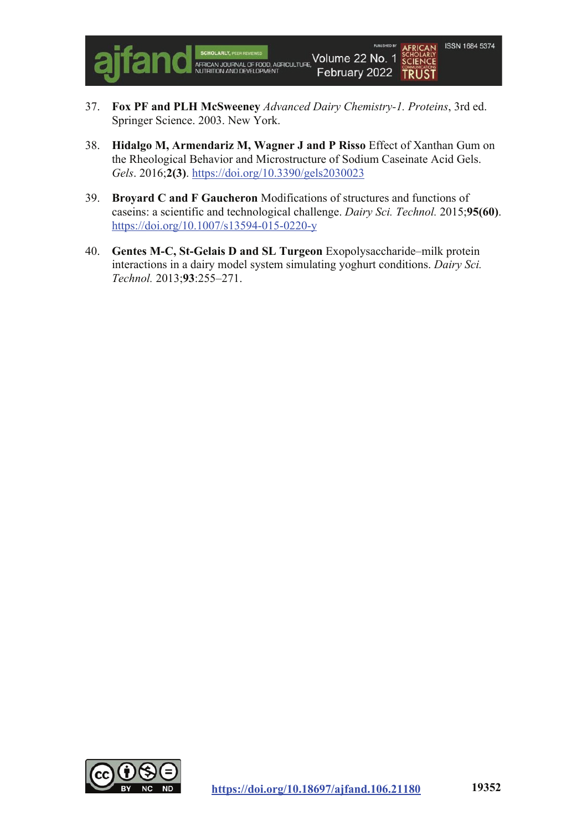

- 37. Fox PF and PLH McSweeney Advanced Dairy Chemistry-1. Proteins, 3rd ed. Springer Science. 2003. New York.
- Hidalgo M, Armendariz M, Wagner J and P Risso Effect of Xanthan Gum on 38. the Rheological Behavior and Microstructure of Sodium Caseinate Acid Gels. Gels. 2016;2(3). https://doi.org/10.3390/gels2030023
- 39. Broyard C and F Gaucheron Modifications of structures and functions of caseins: a scientific and technological challenge. Dairy Sci. Technol. 2015;95(60). https://doi.org/10.1007/s13594-015-0220-y
- 40. Gentes M-C, St-Gelais D and SL Turgeon Exopolysaccharide–milk protein interactions in a dairy model system simulating yoghurt conditions. Dairy Sci. Technol. 2013;93:255-271.